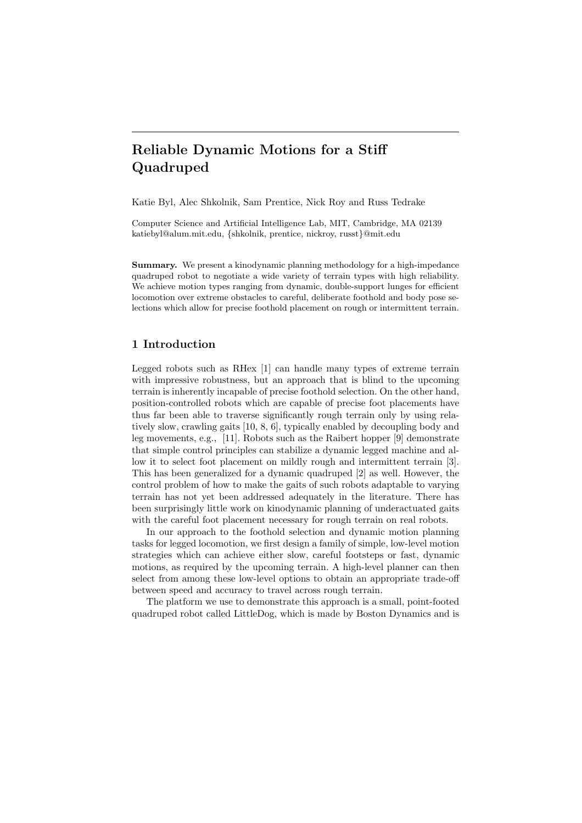# Reliable Dynamic Motions for a Stiff Quadruped

Katie Byl, Alec Shkolnik, Sam Prentice, Nick Roy and Russ Tedrake

Computer Science and Artificial Intelligence Lab, MIT, Cambridge, MA 02139 katiebyl@alum.mit.edu, {shkolnik, prentice, nickroy, russt}@mit.edu

Summary. We present a kinodynamic planning methodology for a high-impedance quadruped robot to negotiate a wide variety of terrain types with high reliability. We achieve motion types ranging from dynamic, double-support lunges for efficient locomotion over extreme obstacles to careful, deliberate foothold and body pose selections which allow for precise foothold placement on rough or intermittent terrain.

## 1 Introduction

Legged robots such as RHex [1] can handle many types of extreme terrain with impressive robustness, but an approach that is blind to the upcoming terrain is inherently incapable of precise foothold selection. On the other hand, position-controlled robots which are capable of precise foot placements have thus far been able to traverse significantly rough terrain only by using relatively slow, crawling gaits [10, 8, 6], typically enabled by decoupling body and leg movements, e.g., [11]. Robots such as the Raibert hopper [9] demonstrate that simple control principles can stabilize a dynamic legged machine and allow it to select foot placement on mildly rough and intermittent terrain [3]. This has been generalized for a dynamic quadruped [2] as well. However, the control problem of how to make the gaits of such robots adaptable to varying terrain has not yet been addressed adequately in the literature. There has been surprisingly little work on kinodynamic planning of underactuated gaits with the careful foot placement necessary for rough terrain on real robots.

In our approach to the foothold selection and dynamic motion planning tasks for legged locomotion, we first design a family of simple, low-level motion strategies which can achieve either slow, careful footsteps or fast, dynamic motions, as required by the upcoming terrain. A high-level planner can then select from among these low-level options to obtain an appropriate trade-off between speed and accuracy to travel across rough terrain.

The platform we use to demonstrate this approach is a small, point-footed quadruped robot called LittleDog, which is made by Boston Dynamics and is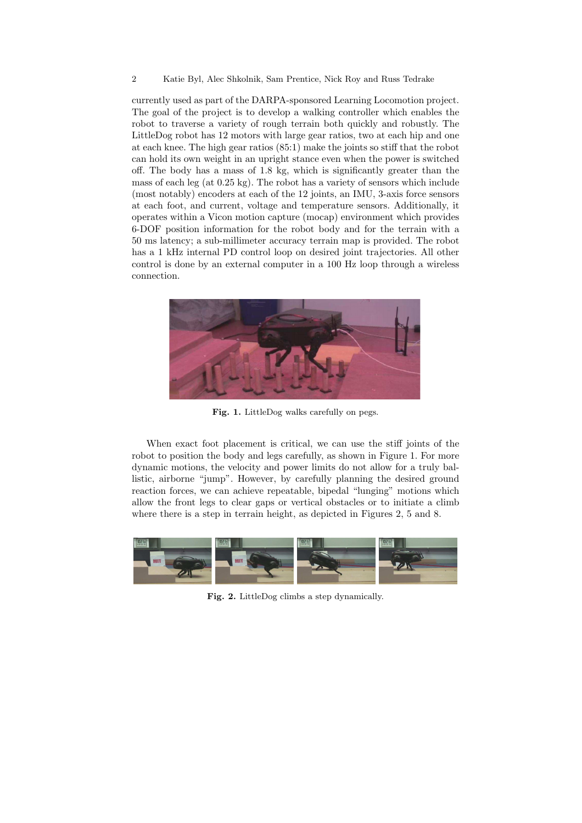#### 2 Katie Byl, Alec Shkolnik, Sam Prentice, Nick Roy and Russ Tedrake

currently used as part of the DARPA-sponsored Learning Locomotion project. The goal of the project is to develop a walking controller which enables the robot to traverse a variety of rough terrain both quickly and robustly. The LittleDog robot has 12 motors with large gear ratios, two at each hip and one at each knee. The high gear ratios (85:1) make the joints so stiff that the robot can hold its own weight in an upright stance even when the power is switched off. The body has a mass of 1.8 kg, which is significantly greater than the mass of each leg (at 0.25 kg). The robot has a variety of sensors which include (most notably) encoders at each of the 12 joints, an IMU, 3-axis force sensors at each foot, and current, voltage and temperature sensors. Additionally, it operates within a Vicon motion capture (mocap) environment which provides 6-DOF position information for the robot body and for the terrain with a 50 ms latency; a sub-millimeter accuracy terrain map is provided. The robot has a 1 kHz internal PD control loop on desired joint trajectories. All other control is done by an external computer in a 100 Hz loop through a wireless connection.



Fig. 1. LittleDog walks carefully on pegs.

When exact foot placement is critical, we can use the stiff joints of the robot to position the body and legs carefully, as shown in Figure 1. For more dynamic motions, the velocity and power limits do not allow for a truly ballistic, airborne "jump". However, by carefully planning the desired ground reaction forces, we can achieve repeatable, bipedal "lunging" motions which allow the front legs to clear gaps or vertical obstacles or to initiate a climb where there is a step in terrain height, as depicted in Figures 2, 5 and 8.



Fig. 2. LittleDog climbs a step dynamically.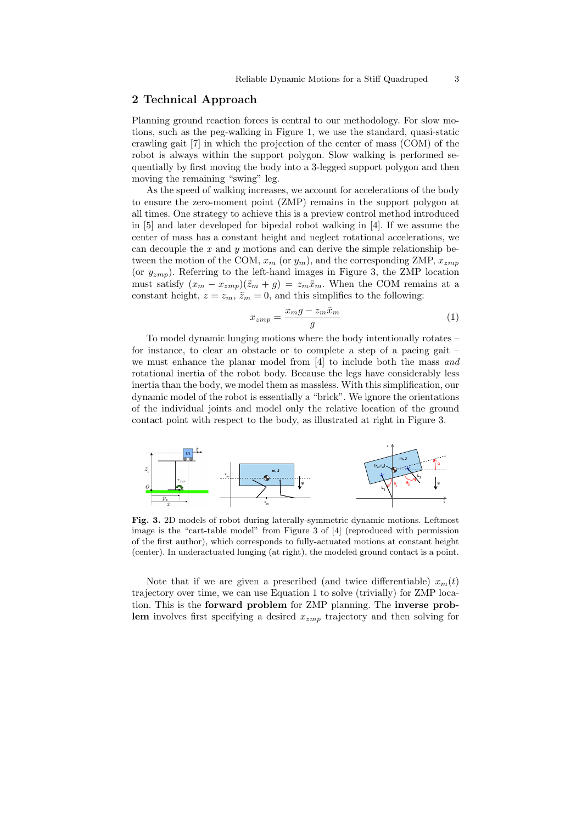## 2 Technical Approach

Planning ground reaction forces is central to our methodology. For slow motions, such as the peg-walking in Figure 1, we use the standard, quasi-static crawling gait [7] in which the projection of the center of mass (COM) of the robot is always within the support polygon. Slow walking is performed sequentially by first moving the body into a 3-legged support polygon and then moving the remaining "swing" leg.

As the speed of walking increases, we account for accelerations of the body to ensure the zero-moment point (ZMP) remains in the support polygon at all times. One strategy to achieve this is a preview control method introduced in [5] and later developed for bipedal robot walking in [4]. If we assume the center of mass has a constant height and neglect rotational accelerations, we can decouple the  $x$  and  $y$  motions and can derive the simple relationship between the motion of the COM,  $x_m$  (or  $y_m$ ), and the corresponding ZMP,  $x_{zmp}$ (or  $y_{zmp}$ ). Referring to the left-hand images in Figure 3, the ZMP location must satisfy  $(x_m - x_{zmp})(\ddot{z}_m + g) = z_m \ddot{x}_m$ . When the COM remains at a constant height,  $z = z_m$ ,  $\ddot{z}_m = 0$ , and this simplifies to the following:

$$
x_{zmp} = \frac{x_m g - z_m \ddot{x}_m}{g} \tag{1}
$$

To model dynamic lunging motions where the body intentionally rotates – for instance, to clear an obstacle or to complete a step of a pacing gait – we must enhance the planar model from [4] to include both the mass and rotational inertia of the robot body. Because the legs have considerably less inertia than the body, we model them as massless. With this simplification, our dynamic model of the robot is essentially a "brick". We ignore the orientations of the individual joints and model only the relative location of the ground contact point with respect to the body, as illustrated at right in Figure 3.



Fig. 3. 2D models of robot during laterally-symmetric dynamic motions. Leftmost image is the "cart-table model" from Figure 3 of [4] (reproduced with permission of the first author), which corresponds to fully-actuated motions at constant height (center). In underactuated lunging (at right), the modeled ground contact is a point.

Note that if we are given a prescribed (and twice differentiable)  $x_m(t)$ trajectory over time, we can use Equation 1 to solve (trivially) for ZMP location. This is the forward problem for ZMP planning. The inverse problem involves first specifying a desired  $x_{zmp}$  trajectory and then solving for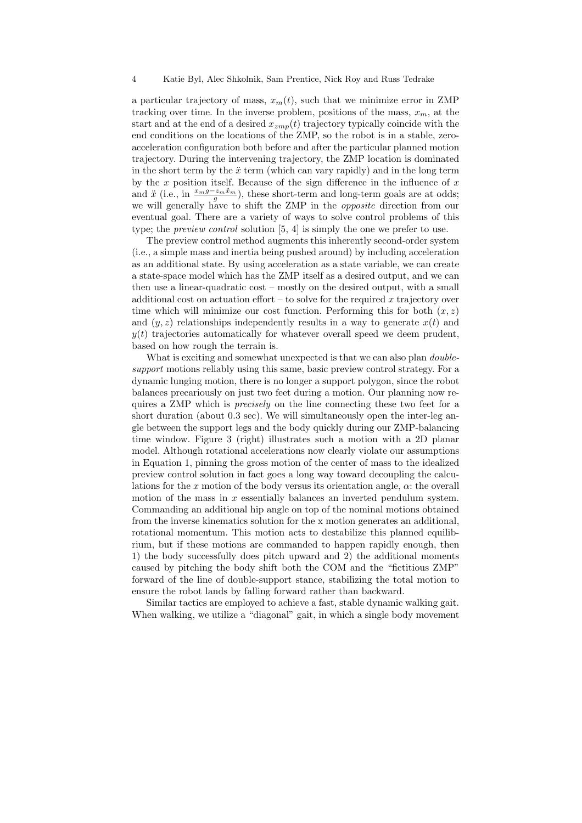a particular trajectory of mass,  $x_m(t)$ , such that we minimize error in ZMP tracking over time. In the inverse problem, positions of the mass,  $x_m$ , at the start and at the end of a desired  $x_{zmp}(t)$  trajectory typically coincide with the end conditions on the locations of the ZMP, so the robot is in a stable, zeroacceleration configuration both before and after the particular planned motion trajectory. During the intervening trajectory, the ZMP location is dominated in the short term by the  $\ddot{x}$  term (which can vary rapidly) and in the long term by the x position itself. Because of the sign difference in the influence of  $x$ and  $\ddot{x}$  (i.e., in  $\frac{x_m g - z_m \ddot{x}_m}{g}$ ), these short-term and long-term goals are at odds; we will generally have to shift the ZMP in the opposite direction from our eventual goal. There are a variety of ways to solve control problems of this type; the preview control solution [5, 4] is simply the one we prefer to use.

The preview control method augments this inherently second-order system (i.e., a simple mass and inertia being pushed around) by including acceleration as an additional state. By using acceleration as a state variable, we can create a state-space model which has the ZMP itself as a desired output, and we can then use a linear-quadratic cost – mostly on the desired output, with a small additional cost on actuation effort  $-$  to solve for the required x trajectory over time which will minimize our cost function. Performing this for both  $(x, z)$ and  $(y, z)$  relationships independently results in a way to generate  $x(t)$  and  $y(t)$  trajectories automatically for whatever overall speed we deem prudent, based on how rough the terrain is.

What is exciting and somewhat unexpected is that we can also plan *double*support motions reliably using this same, basic preview control strategy. For a dynamic lunging motion, there is no longer a support polygon, since the robot balances precariously on just two feet during a motion. Our planning now requires a ZMP which is precisely on the line connecting these two feet for a short duration (about 0.3 sec). We will simultaneously open the inter-leg angle between the support legs and the body quickly during our ZMP-balancing time window. Figure 3 (right) illustrates such a motion with a 2D planar model. Although rotational accelerations now clearly violate our assumptions in Equation 1, pinning the gross motion of the center of mass to the idealized preview control solution in fact goes a long way toward decoupling the calculations for the  $x$  motion of the body versus its orientation angle,  $\alpha$ : the overall motion of the mass in  $x$  essentially balances an inverted pendulum system. Commanding an additional hip angle on top of the nominal motions obtained from the inverse kinematics solution for the x motion generates an additional, rotational momentum. This motion acts to destabilize this planned equilibrium, but if these motions are commanded to happen rapidly enough, then 1) the body successfully does pitch upward and 2) the additional moments caused by pitching the body shift both the COM and the "fictitious ZMP" forward of the line of double-support stance, stabilizing the total motion to ensure the robot lands by falling forward rather than backward.

Similar tactics are employed to achieve a fast, stable dynamic walking gait. When walking, we utilize a "diagonal" gait, in which a single body movement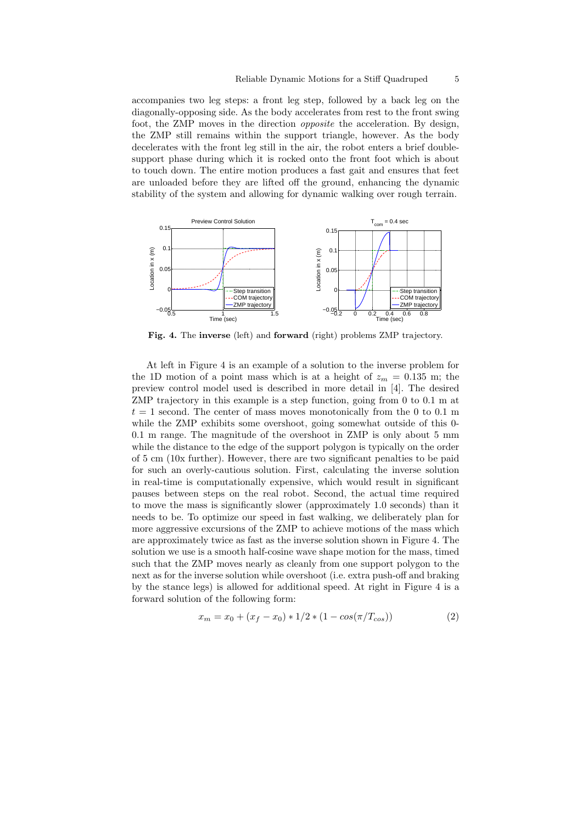accompanies two leg steps: a front leg step, followed by a back leg on the diagonally-opposing side. As the body accelerates from rest to the front swing foot, the ZMP moves in the direction opposite the acceleration. By design, the ZMP still remains within the support triangle, however. As the body decelerates with the front leg still in the air, the robot enters a brief doublesupport phase during which it is rocked onto the front foot which is about to touch down. The entire motion produces a fast gait and ensures that feet are unloaded before they are lifted off the ground, enhancing the dynamic stability of the system and allowing for dynamic walking over rough terrain.



Fig. 4. The inverse (left) and forward (right) problems ZMP trajectory.

At left in Figure 4 is an example of a solution to the inverse problem for the 1D motion of a point mass which is at a height of  $z_m = 0.135$  m; the preview control model used is described in more detail in [4]. The desired ZMP trajectory in this example is a step function, going from 0 to 0.1 m at  $t = 1$  second. The center of mass moves monotonically from the 0 to 0.1 m while the ZMP exhibits some overshoot, going somewhat outside of this 0- 0.1 m range. The magnitude of the overshoot in ZMP is only about 5 mm while the distance to the edge of the support polygon is typically on the order of 5 cm (10x further). However, there are two significant penalties to be paid for such an overly-cautious solution. First, calculating the inverse solution in real-time is computationally expensive, which would result in significant pauses between steps on the real robot. Second, the actual time required to move the mass is significantly slower (approximately 1.0 seconds) than it needs to be. To optimize our speed in fast walking, we deliberately plan for more aggressive excursions of the ZMP to achieve motions of the mass which are approximately twice as fast as the inverse solution shown in Figure 4. The solution we use is a smooth half-cosine wave shape motion for the mass, timed such that the ZMP moves nearly as cleanly from one support polygon to the next as for the inverse solution while overshoot (i.e. extra push-off and braking by the stance legs) is allowed for additional speed. At right in Figure 4 is a forward solution of the following form:

$$
x_m = x_0 + (x_f - x_0) * 1/2 * (1 - \cos(\pi/T_{cos}))
$$
\n(2)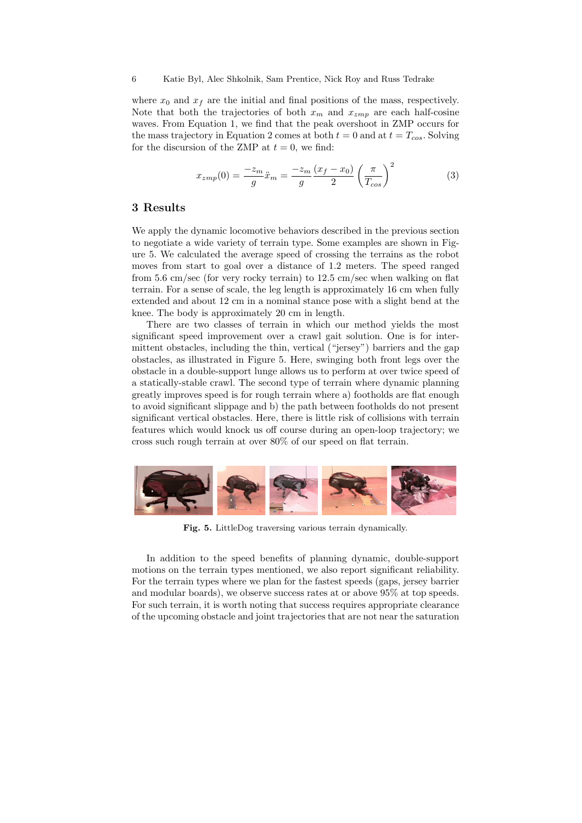where  $x_0$  and  $x_f$  are the initial and final positions of the mass, respectively. Note that both the trajectories of both  $x_m$  and  $x_{zmp}$  are each half-cosine waves. From Equation 1, we find that the peak overshoot in ZMP occurs for the mass trajectory in Equation 2 comes at both  $t = 0$  and at  $t = T_{cos}$ . Solving for the discursion of the ZMP at  $t = 0$ , we find:

$$
x_{zmp}(0) = \frac{-z_m}{g}\ddot{x}_m = \frac{-z_m}{g}\frac{(x_f - x_0)}{2}\left(\frac{\pi}{T_{cos}}\right)^2
$$
 (3)

## 3 Results

We apply the dynamic locomotive behaviors described in the previous section to negotiate a wide variety of terrain type. Some examples are shown in Figure 5. We calculated the average speed of crossing the terrains as the robot moves from start to goal over a distance of 1.2 meters. The speed ranged from 5.6 cm/sec (for very rocky terrain) to 12.5 cm/sec when walking on flat terrain. For a sense of scale, the leg length is approximately 16 cm when fully extended and about 12 cm in a nominal stance pose with a slight bend at the knee. The body is approximately 20 cm in length.

There are two classes of terrain in which our method yields the most significant speed improvement over a crawl gait solution. One is for intermittent obstacles, including the thin, vertical ("jersey") barriers and the gap obstacles, as illustrated in Figure 5. Here, swinging both front legs over the obstacle in a double-support lunge allows us to perform at over twice speed of a statically-stable crawl. The second type of terrain where dynamic planning greatly improves speed is for rough terrain where a) footholds are flat enough to avoid significant slippage and b) the path between footholds do not present significant vertical obstacles. Here, there is little risk of collisions with terrain features which would knock us off course during an open-loop trajectory; we cross such rough terrain at over 80% of our speed on flat terrain.



Fig. 5. LittleDog traversing various terrain dynamically.

In addition to the speed benefits of planning dynamic, double-support motions on the terrain types mentioned, we also report significant reliability. For the terrain types where we plan for the fastest speeds (gaps, jersey barrier and modular boards), we observe success rates at or above 95% at top speeds. For such terrain, it is worth noting that success requires appropriate clearance of the upcoming obstacle and joint trajectories that are not near the saturation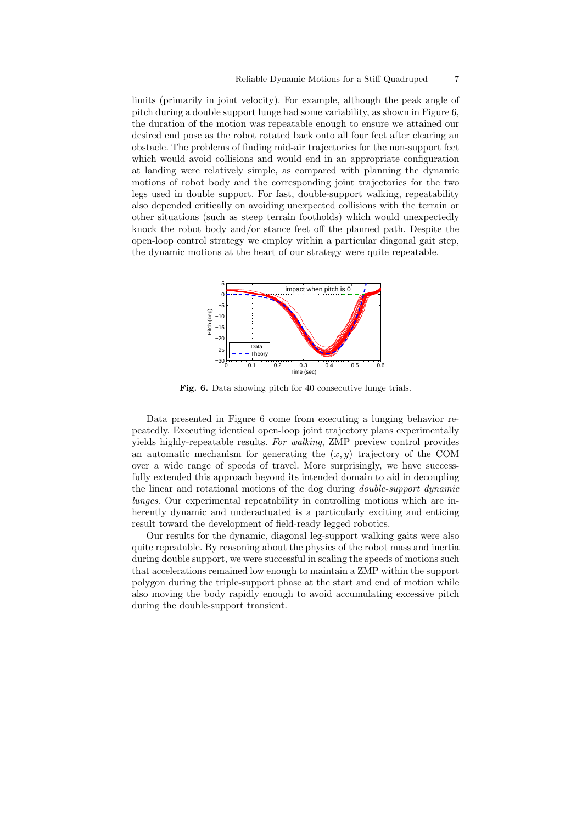limits (primarily in joint velocity). For example, although the peak angle of pitch during a double support lunge had some variability, as shown in Figure 6, the duration of the motion was repeatable enough to ensure we attained our desired end pose as the robot rotated back onto all four feet after clearing an obstacle. The problems of finding mid-air trajectories for the non-support feet which would avoid collisions and would end in an appropriate configuration at landing were relatively simple, as compared with planning the dynamic motions of robot body and the corresponding joint trajectories for the two legs used in double support. For fast, double-support walking, repeatability also depended critically on avoiding unexpected collisions with the terrain or other situations (such as steep terrain footholds) which would unexpectedly knock the robot body and/or stance feet off the planned path. Despite the open-loop control strategy we employ within a particular diagonal gait step, the dynamic motions at the heart of our strategy were quite repeatable.



Fig. 6. Data showing pitch for 40 consecutive lunge trials.

Data presented in Figure 6 come from executing a lunging behavior repeatedly. Executing identical open-loop joint trajectory plans experimentally yields highly-repeatable results. For walking, ZMP preview control provides an automatic mechanism for generating the  $(x, y)$  trajectory of the COM over a wide range of speeds of travel. More surprisingly, we have successfully extended this approach beyond its intended domain to aid in decoupling the linear and rotational motions of the dog during double-support dynamic lunges. Our experimental repeatability in controlling motions which are inherently dynamic and underactuated is a particularly exciting and enticing result toward the development of field-ready legged robotics.

Our results for the dynamic, diagonal leg-support walking gaits were also quite repeatable. By reasoning about the physics of the robot mass and inertia during double support, we were successful in scaling the speeds of motions such that accelerations remained low enough to maintain a ZMP within the support polygon during the triple-support phase at the start and end of motion while also moving the body rapidly enough to avoid accumulating excessive pitch during the double-support transient.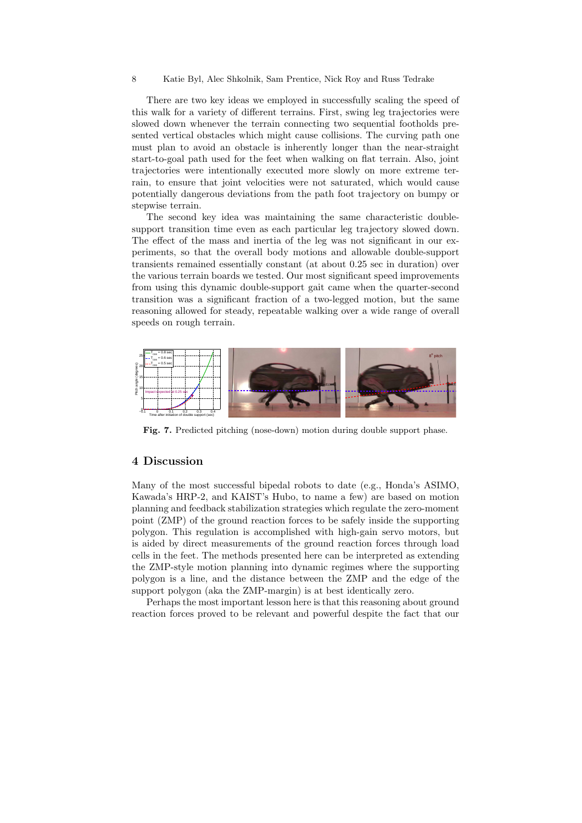8 Katie Byl, Alec Shkolnik, Sam Prentice, Nick Roy and Russ Tedrake

There are two key ideas we employed in successfully scaling the speed of this walk for a variety of different terrains. First, swing leg trajectories were slowed down whenever the terrain connecting two sequential footholds presented vertical obstacles which might cause collisions. The curving path one must plan to avoid an obstacle is inherently longer than the near-straight start-to-goal path used for the feet when walking on flat terrain. Also, joint trajectories were intentionally executed more slowly on more extreme terrain, to ensure that joint velocities were not saturated, which would cause potentially dangerous deviations from the path foot trajectory on bumpy or stepwise terrain.

The second key idea was maintaining the same characteristic doublesupport transition time even as each particular leg trajectory slowed down. The effect of the mass and inertia of the leg was not significant in our experiments, so that the overall body motions and allowable double-support transients remained essentially constant (at about 0.25 sec in duration) over the various terrain boards we tested. Our most significant speed improvements from using this dynamic double-support gait came when the quarter-second transition was a significant fraction of a two-legged motion, but the same reasoning allowed for steady, repeatable walking over a wide range of overall speeds on rough terrain.



Fig. 7. Predicted pitching (nose-down) motion during double support phase.

#### 4 Discussion

Many of the most successful bipedal robots to date (e.g., Honda's ASIMO, Kawada's HRP-2, and KAIST's Hubo, to name a few) are based on motion planning and feedback stabilization strategies which regulate the zero-moment point (ZMP) of the ground reaction forces to be safely inside the supporting polygon. This regulation is accomplished with high-gain servo motors, but is aided by direct measurements of the ground reaction forces through load cells in the feet. The methods presented here can be interpreted as extending the ZMP-style motion planning into dynamic regimes where the supporting polygon is a line, and the distance between the ZMP and the edge of the support polygon (aka the ZMP-margin) is at best identically zero.

Perhaps the most important lesson here is that this reasoning about ground reaction forces proved to be relevant and powerful despite the fact that our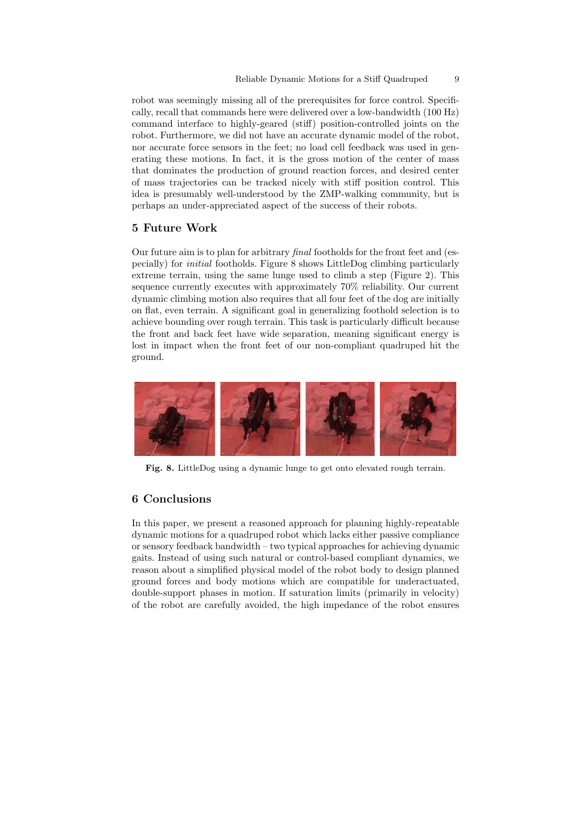robot was seemingly missing all of the prerequisites for force control. Specifically, recall that commands here were delivered over a low-bandwidth (100 Hz) command interface to highly-geared (stiff) position-controlled joints on the robot. Furthermore, we did not have an accurate dynamic model of the robot, nor accurate force sensors in the feet; no load cell feedback was used in generating these motions. In fact, it is the gross motion of the center of mass that dominates the production of ground reaction forces, and desired center of mass trajectories can be tracked nicely with stiff position control. This idea is presumably well-understood by the ZMP-walking community, but is perhaps an under-appreciated aspect of the success of their robots.

#### 5 Future Work

Our future aim is to plan for arbitrary final footholds for the front feet and (especially) for initial footholds. Figure 8 shows LittleDog climbing particularly extreme terrain, using the same lunge used to climb a step (Figure 2). This sequence currently executes with approximately 70% reliability. Our current dynamic climbing motion also requires that all four feet of the dog are initially on flat, even terrain. A significant goal in generalizing foothold selection is to achieve bounding over rough terrain. This task is particularly difficult because the front and back feet have wide separation, meaning significant energy is lost in impact when the front feet of our non-compliant quadruped hit the ground.



Fig. 8. LittleDog using a dynamic lunge to get onto elevated rough terrain.

## 6 Conclusions

In this paper, we present a reasoned approach for planning highly-repeatable dynamic motions for a quadruped robot which lacks either passive compliance or sensory feedback bandwidth – two typical approaches for achieving dynamic gaits. Instead of using such natural or control-based compliant dynamics, we reason about a simplified physical model of the robot body to design planned ground forces and body motions which are compatible for underactuated, double-support phases in motion. If saturation limits (primarily in velocity) of the robot are carefully avoided, the high impedance of the robot ensures